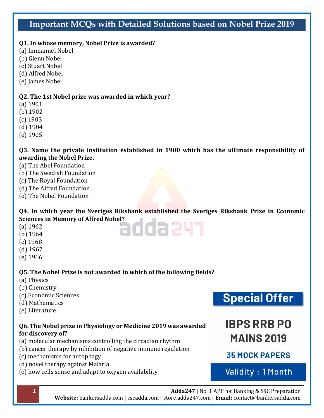# **Important MCQs with Detailed Solutions based on Nobel Prize 2019**

#### **Q1. In whose memory, Nobel Prize is awarded?**

(a) Immanuel Nobel

- (b) Glenn Nobel
- (c) Stuart Nobel
- (d) Alfred Nobel
- (e) James Nobel

#### **Q2. The 1st Nobel prize was awarded in which year?**

- (a) 1901
- (b) 1902
- (c) 1903
- (d) 1904
- (e) 1905

#### **Q3. Name the private institution established in 1900 which has the ultimate responsibility of awarding the Nobel Prize.**

- (a) The Abel Foundation
- (b) The Swedish Foundation
- (c) The Royal Foundation
- (d) The Alfred Foundation
- (e) The Nobel Foundation

# **Q4. In which year the Sveriges Riksbank established the Sveriges Riksbank Prize in Economic Sciences in Memory of Alfred Nobel?**<br>(a) 1962<br>(b) 1064

- (a) 1962
- (b) 1964
- (c) 1968
- (d) 1967
- (e) 1966

#### **Q5. The Nobel Prize is not awarded in which of the following fields?**

- (a) Physics
- (b) Chemistry
- (c) Economic Sciences
- (d) Mathematics
- (e) Literature

#### **Q6. The Nobel prize in Physiology or Medicine 2019 was awarded for discovery of?**

- (a) molecular mechanisms controlling the circadian rhythm
- (b) cancer therapy by inhibition of negative immune regulation
- (c) mechanisms for autophagy
- (d) novel therapy against Malaria
- (e) how cells sense and adapt to oxygen availability

**Special Offer** 

# **IBPS RRB PO MAINS 2019**

# **35 MOCK PAPERS**

# Validity: 1 Month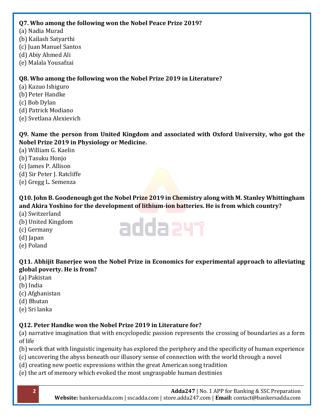#### **Q7. Who among the following won the Nobel Peace Prize 2019?**

- (a) Nadia Murad
- (b) Kailash Satyarthi
- (c) Juan Manuel Santos
- (d) Abiy Ahmed Ali
- (e) Malala Yousafzai

## **Q8. Who among the following won the Nobel Prize 2019 in Literature?**

- (a) Kazuo Ishiguro
- (b) Peter Handke
- (c) Bob Dylan
- (d) Patrick Modiano
- (e) Svetlana Alexievich

**Q9. Name the person from United Kingdom and associated with Oxford University, who got the Nobel Prize 2019 in Physiology or Medicine.**

- (a) William G. Kaelin
- (b) Tasuku Honjo
- (c) James P. Allison
- (d) Sir Peter J. Ratcliffe
- (e) Gregg L. Semenza

## **Q10. John B. Goodenough got the Nobel Prize 2019 in Chemistry along with M. Stanley Whittingham and Akira Yoshino for the development of lithium-ion batteries. He is from which country?**

- (a) Switzerland
- (b) United Kingdom
- (c) Germany
- (d) Japan
- (e) Poland

# **Q11. Abhijit Banerjee won the Nobel Prize in Economics for experimental approach to alleviating global poverty. He is from?**

- (a) Pakistan
- (b) India
- (c) Afghanistan
- (d) Bhutan
- (e) Sri lanka

# **Q12. Peter Handke won the Nobel Prize 2019 in Literature for?**

(a) narrative imagination that with encyclopedic passion represents the crossing of boundaries as a form of life

(b) work that with linguistic ingenuity has explored the periphery and the specificity of human experience

- (c) uncovering the abyss beneath our illusory sense of connection with the world through a novel
- (d) creating new poetic expressions within the great American song tradition
- (e) the art of memory which evoked the most ungraspable human destinies

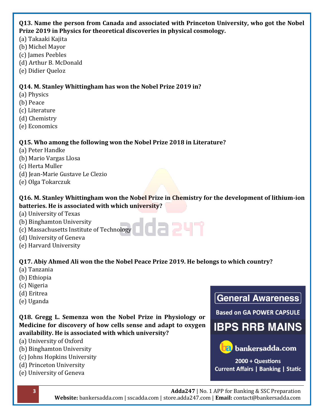#### **Q13. Name the person from Canada and associated with Princeton University, who got the Nobel Prize 2019 in Physics for theoretical discoveries in physical cosmology.**

- (a) Takaaki Kajita
- (b) Michel Mayor
- (c) James Peebles
- (d) Arthur B. McDonald
- (e) Didier Queloz

## **Q14. M. Stanley Whittingham has won the Nobel Prize 2019 in?**

- (a) Physics
- (b) Peace
- (c) Literature
- (d) Chemistry
- (e) Economics

## **Q15. Who among the following won the Nobel Prize 2018 in Literature?**

- (a) Peter Handke
- (b) Mario Vargas Llosa
- (c) Herta Muller
- (d) Jean-Marie Gustave Le Clezio
- (e) Olga Tokarczuk

#### **Q16. M. Stanley Whittingham won the Nobel Prize in Chemistry for the development of lithium-ion batteries. He is associated with which university?**

- (a) University of Texas
- (b) Binghamton University
- (c) Massachusetts Institute of Technology
- (d) University of Geneva
- (e) Harvard University

# **Q17. Abiy Ahmed Ali won the the Nobel Peace Prize 2019. He belongs to which country?**

- (a) Tanzania
- (b) Ethiopia
- (c) Nigeria
- (d) Eritrea
- (e) Uganda

#### **Q18. Gregg L. Semenza won the Nobel Prize in Physiology or Medicine for discovery of how cells sense and adapt to oxygen availability. He is associated with which university?**

- (a) University of Oxford
- (b) Binghamton University
- (c) Johns Hopkins University
- (d) Princeton University
- (e) University of Geneva

# General Awareness

**Based on GA POWER CAPSULE** 

# **IBPS RRB MAINS**



**12** bankersadda.com

2000 + Questions **Current Affairs | Banking | Static**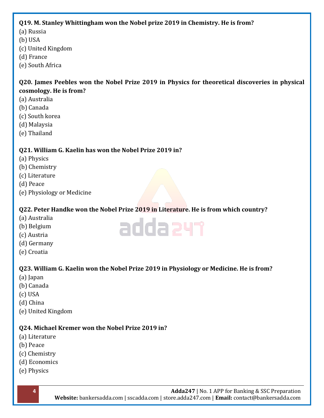#### **Q19. M. Stanley Whittingham won the Nobel prize 2019 in Chemistry. He is from?**

- (a) Russia
- (b) USA
- (c) United Kingdom
- (d) France
- (e) South Africa

#### **Q20. James Peebles won the Nobel Prize 2019 in Physics for theoretical discoveries in physical cosmology. He is from?**

- (a) Australia
- (b) Canada
- (c) South korea
- (d) Malaysia
- (e) Thailand

## **Q21. William G. Kaelin has won the Nobel Prize 2019 in?**

- (a) Physics
- (b) Chemistry
- (c) Literature
- (d) Peace
- (e) Physiology or Medicine

# **Q22. Peter Handke won the Nobel Prize 2019 in Literature. He is from which country?**

adda241

- (a) Australia
- (b) Belgium
- (c) Austria
- (d) Germany
- (e) Croatia

# **Q23. William G. Kaelin won the Nobel Prize 2019 in Physiology or Medicine. He is from?**

- (a) Japan
- (b) Canada
- (c) USA
- (d) China
- (e) United Kingdom

#### **Q24. Michael Kremer won the Nobel Prize 2019 in?**

- (a) Literature
- (b) Peace
- (c) Chemistry
- (d) Economics
- (e) Physics

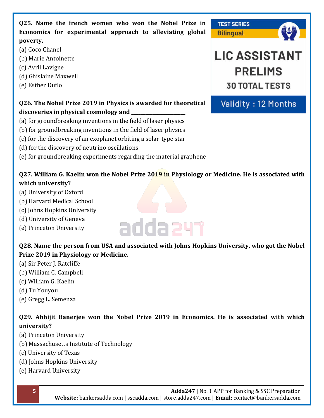**Q25. Name the french women who won the Nobel Prize in Economics for experimental approach to alleviating global poverty.**

- (a) Coco Chanel
- (b) Marie Antoinette
- (c) Avril Lavigne
- (d) Ghislaine Maxwell
- (e) Esther Duflo



Validity: 12 Months

**30 TOTAL TESTS** 

# **Q26. The Nobel Prize 2019 in Physics is awarded for theoretical discoveries in physical cosmology and \_\_\_\_\_\_\_\_\_\_\_\_\_\_\_\_\_\_\_\_\_\_\_**

- (a) for groundbreaking inventions in the field of laser physics
- (b) for groundbreaking inventions in the field of laser physics
- (c) for the discovery of an exoplanet orbiting a solar-type star
- (d) for the discovery of neutrino oscillations
- (e) for groundbreaking experiments regarding the material graphene

# **Q27. William G. Kaelin won the Nobel Prize 2019 in Physiology or Medicine. He is associated with which university?**

- (a) University of Oxford
- (b) Harvard Medical School
- (c) Johns Hopkins University
- (d) University of Geneva
- (e) Princeton University

# **Q28. Name the person from USA and associated with Johns Hopkins University, who got the Nobel Prize 2019 in Physiology or Medicine.**

adda 241

- (a) Sir Peter J. Ratcliffe
- (b) William C. Campbell
- (c) William G. Kaelin
- (d) Tu Youyou
- (e) Gregg L. Semenza

## **Q29. Abhijit Banerjee won the Nobel Prize 2019 in Economics. He is associated with which university?**

- (a) Princeton University
- (b) Massachusetts Institute of Technology
- (c) University of Texas
- (d) Johns Hopkins University
- (e) Harvard University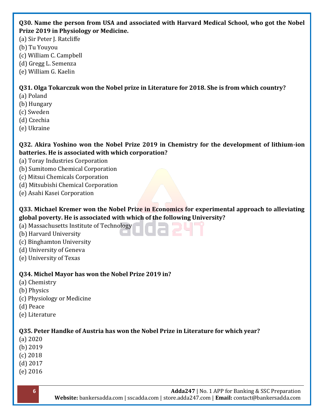#### **Q30. Name the person from USA and associated with Harvard Medical School, who got the Nobel Prize 2019 in Physiology or Medicine.**

(a) Sir Peter J. Ratcliffe

(b) Tu Youyou

(c) William C. Campbell

- (d) Gregg L. Semenza
- (e) William G. Kaelin

## **Q31. Olga Tokarczuk won the Nobel prize in Literature for 2018. She is from which country?**

- (a) Poland
- (b) Hungary
- (c) Sweden
- (d) Czechia
- (e) Ukraine

**Q32. Akira Yoshino won the Nobel Prize 2019 in Chemistry for the development of lithium-ion batteries. He is associated with which corporation?**

- (a) Toray Industries Corporation
- (b) Sumitomo Chemical Corporation
- (c) Mitsui Chemicals Corporation
- (d) Mitsubishi Chemical Corporation
- (e) Asahi Kasei Corporation

**Q33. Michael Kremer won the Nobel Prize in Economics for experimental approach to alleviating global poverty. He is associated with which of the following University?**

- (a) Massachusetts Institute of Technology
- (b) Harvard University
- (c) Binghamton University
- (d) University of Geneva
- (e) University of Texas

# **Q34. Michel Mayor has won the Nobel Prize 2019 in?**

- (a) Chemistry
- (b) Physics
- (c) Physiology or Medicine
- (d) Peace
- (e) Literature

# **Q35. Peter Handke of Austria has won the Nobel Prize in Literature for which year?**

- (a) 2020
- (b) 2019
- (c) 2018
- (d) 2017
- (e) 2016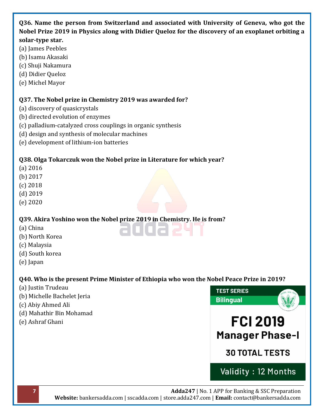#### **Q36. Name the person from Switzerland and associated with University of Geneva, who got the Nobel Prize 2019 in Physics along with Didier Queloz for the discovery of an exoplanet orbiting a solar-type star.**

- (a) James Peebles
- (b) Isamu Akasaki
- (c) Shuji Nakamura
- (d) Didier Queloz
- (e) Michel Mayor

#### **Q37. The Nobel prize in Chemistry 2019 was awarded for?**

- (a) discovery of quasicrystals
- (b) directed evolution of enzymes
- (c) palladium-catalyzed cross couplings in organic synthesis
- (d) design and synthesis of molecular machines
- (e) development of lithium-ion batteries

#### **Q38. Olga Tokarczuk won the Nobel prize in Literature for which year?**

- (a) 2016
- (b) 2017
- (c) 2018
- (d) 2019
- (e) 2020

#### **Q39. Akira Yoshino won the Nobel prize 2019 in Chemistry. He is from?**

- (a) China
- (b) North Korea
- (c) Malaysia
- (d) South korea
- (e) Japan

#### **Q40. Who is the present Prime Minister of Ethiopia who won the Nobel Peace Prize in 2019?**

auuaz

- (a) Justin Trudeau
- (b) Michelle Bachelet Jeria
- (c) Abiy Ahmed Ali
- (d) Mahathir Bin Mohamad
- (e) Ashraf Ghani